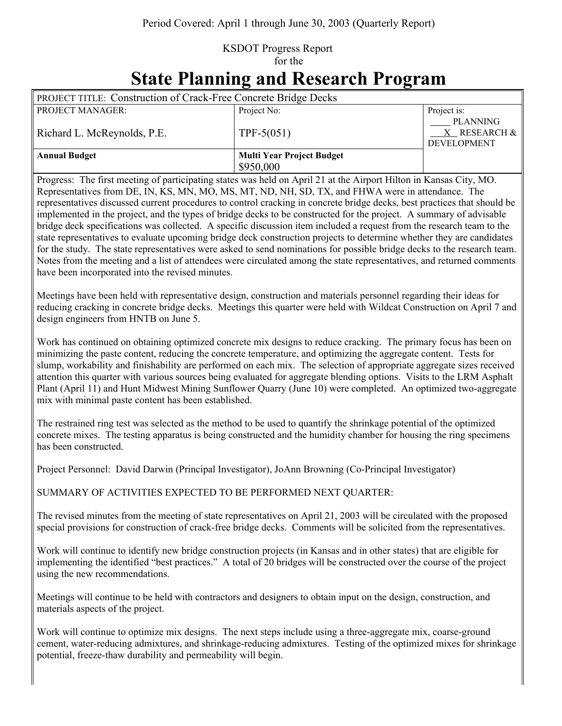## KSDOT Progress Report for the **State Planning and Research Program**

| $\sim$ assembly                                                        |                                               |                                         |  |
|------------------------------------------------------------------------|-----------------------------------------------|-----------------------------------------|--|
| <b>PROJECT TITLE: Construction of Crack-Free Concrete Bridge Decks</b> |                                               |                                         |  |
| <b>PROJECT MANAGER:</b>                                                | Project No:                                   | Project is:<br><b>PLANNING</b>          |  |
| Richard L. McReynolds, P.E.                                            | $TPF-5(051)$                                  | $X$ RESEARCH $\&$<br><b>DEVELOPMENT</b> |  |
| <b>Annual Budget</b>                                                   | <b>Multi Year Project Budget</b><br>\$950,000 |                                         |  |

Progress: The first meeting of participating states was held on April 21 at the Airport Hilton in Kansas City, MO. Representatives from DE, IN, KS, MN, MO, MS, MT, ND, NH, SD, TX, and FHWA were in attendance. The representatives discussed current procedures to control cracking in concrete bridge decks, best practices that should be implemented in the project, and the types of bridge decks to be constructed for the project. A summary of advisable bridge deck specifications was collected. A specific discussion item included a request from the research team to the state representatives to evaluate upcoming bridge deck construction projects to determine whether they are candidates for the study. The state representatives were asked to send nominations for possible bridge decks to the research team. Notes from the meeting and a list of attendees were circulated among the state representatives, and returned comments have been incorporated into the revised minutes.

Meetings have been held with representative design, construction and materials personnel regarding their ideas for reducing cracking in concrete bridge decks. Meetings this quarter were held with Wildcat Construction on April 7 and design engineers from HNTB on June 5.

Work has continued on obtaining optimized concrete mix designs to reduce cracking. The primary focus has been on minimizing the paste content, reducing the concrete temperature, and optimizing the aggregate content. Tests for slump, workability and finishability are performed on each mix. The selection of appropriate aggregate sizes received attention this quarter with various sources being evaluated for aggregate blending options. Visits to the LRM Asphalt Plant (April 11) and Hunt Midwest Mining Sunflower Quarry (June 10) were completed. An optimized two-aggregate mix with minimal paste content has been established.

The restrained ring test was selected as the method to be used to quantify the shrinkage potential of the optimized concrete mixes. The testing apparatus is being constructed and the humidity chamber for housing the ring specimens has been constructed.

Project Personnel: David Darwin (Principal Investigator), JoAnn Browning (Co-Principal Investigator)

SUMMARY OF ACTIVITIES EXPECTED TO BE PERFORMED NEXT QUARTER:

The revised minutes from the meeting of state representatives on April 21, 2003 will be circulated with the proposed special provisions for construction of crack-free bridge decks. Comments will be solicited from the representatives.

Work will continue to identify new bridge construction projects (in Kansas and in other states) that are eligible for implementing the identified "best practices." A total of 20 bridges will be constructed over the course of the project using the new recommendations.

Meetings will continue to be held with contractors and designers to obtain input on the design, construction, and materials aspects of the project.

Work will continue to optimize mix designs. The next steps include using a three-aggregate mix, coarse-ground cement, water-reducing admixtures, and shrinkage-reducing admixtures. Testing of the optimized mixes for shrinkage potential, freeze-thaw durability and permeability will begin.